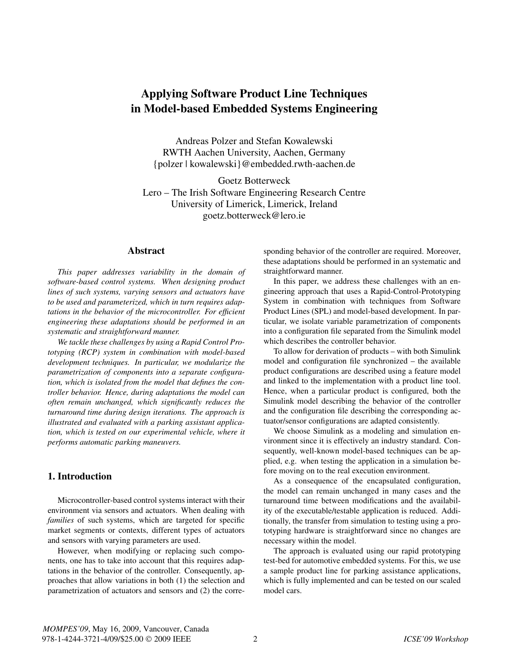# Applying Software Product Line Techniques in Model-based Embedded Systems Engineering

Andreas Polzer and Stefan Kowalewski RWTH Aachen University, Aachen, Germany {polzer | kowalewski}@embedded.rwth-aachen.de

Goetz Botterweck Lero – The Irish Software Engineering Research Centre University of Limerick, Limerick, Ireland goetz.botterweck@lero.ie

#### Abstract

*This paper addresses variability in the domain of software-based control systems. When designing product lines of such systems, varying sensors and actuators have to be used and parameterized, which in turn requires adaptations in the behavior of the microcontroller. For efficient engineering these adaptations should be performed in an systematic and straightforward manner.*

*We tackle these challenges by using a Rapid Control Prototyping (RCP) system in combination with model-based development techniques. In particular, we modularize the parametrization of components into a separate configuration, which is isolated from the model that defines the controller behavior. Hence, during adaptations the model can often remain unchanged, which significantly reduces the turnaround time during design iterations. The approach is illustrated and evaluated with a parking assistant application, which is tested on our experimental vehicle, where it performs automatic parking maneuvers.*

#### 1. Introduction

Microcontroller-based control systems interact with their environment via sensors and actuators. When dealing with *families* of such systems, which are targeted for specific market segments or contexts, different types of actuators and sensors with varying parameters are used.

However, when modifying or replacing such components, one has to take into account that this requires adaptations in the behavior of the controller. Consequently, approaches that allow variations in both (1) the selection and parametrization of actuators and sensors and (2) the corresponding behavior of the controller are required. Moreover, these adaptations should be performed in an systematic and straightforward manner.

In this paper, we address these challenges with an engineering approach that uses a Rapid-Control-Prototyping System in combination with techniques from Software Product Lines (SPL) and model-based development. In particular, we isolate variable parametrization of components into a configuration file separated from the Simulink model which describes the controller behavior.

To allow for derivation of products – with both Simulink model and configuration file synchronized – the available product configurations are described using a feature model and linked to the implementation with a product line tool. Hence, when a particular product is configured, both the Simulink model describing the behavior of the controller and the configuration file describing the corresponding actuator/sensor configurations are adapted consistently.

We choose Simulink as a modeling and simulation environment since it is effectively an industry standard. Consequently, well-known model-based techniques can be applied, e.g. when testing the application in a simulation before moving on to the real execution environment.

As a consequence of the encapsulated configuration, the model can remain unchanged in many cases and the turnaround time between modifications and the availability of the executable/testable application is reduced. Additionally, the transfer from simulation to testing using a prototyping hardware is straightforward since no changes are necessary within the model.

The approach is evaluated using our rapid prototyping test-bed for automotive embedded systems. For this, we use a sample product line for parking assistance applications, which is fully implemented and can be tested on our scaled model cars.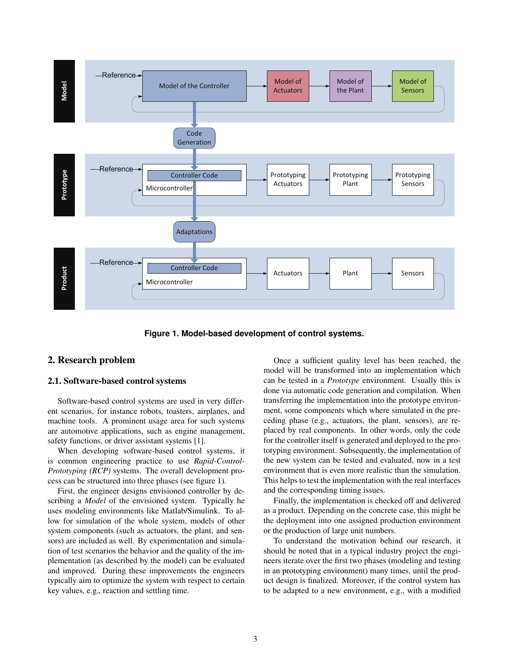

**Figure 1. Model-based development of control systems.**

# 2. Research problem

#### 2.1. Software-based control systems

Software-based control systems are used in very different scenarios, for instance robots, toasters, airplanes, and machine tools. A prominent usage area for such systems are automotive applications, such as engine management, safety functions, or driver assistant systems [1].

When developing software-based control systems, it is common engineering practice to use *Rapid-Control-Prototyping (RCP)* systems. The overall development process can be structured into three phases (see figure 1).

First, the engineer designs envisioned controller by describing a *Model* of the envisioned system. Typically he uses modeling environments like Matlab/Simulink. To allow for simulation of the whole system, models of other system components (such as actuators, the plant, and sensors) are included as well. By experimentation and simulation of test scenarios the behavior and the quality of the implementation (as described by the model) can be evaluated and improved. During these improvements the engineers typically aim to optimize the system with respect to certain key values, e.g., reaction and settling time.

Once a sufficient quality level has been reached, the model will be transformed into an implementation which can be tested in a *Prototype* environment. Usually this is done via automatic code generation and compilation. When transferring the implementation into the prototype environment, some components which where simulated in the preceding phase (e.g., actuators, the plant, sensors), are replaced by real components. In other words, only the code for the controller itself is generated and deployed to the prototyping environment. Subsequently, the implementation of the new system can be tested and evaluated, now in a test environment that is even more realistic than the simulation. This helps to test the implementation with the real interfaces and the corresponding timing issues.

Finally, the implementation is checked off and delivered as a product. Depending on the concrete case, this might be the deployment into one assigned production environment or the production of large unit numbers.

To understand the motivation behind our research, it should be noted that in a typical industry project the engineers iterate over the first two phases (modeling and testing in an prototyping environment) many times, until the product design is finalized. Moreover, if the control system has to be adapted to a new environment, e.g., with a modified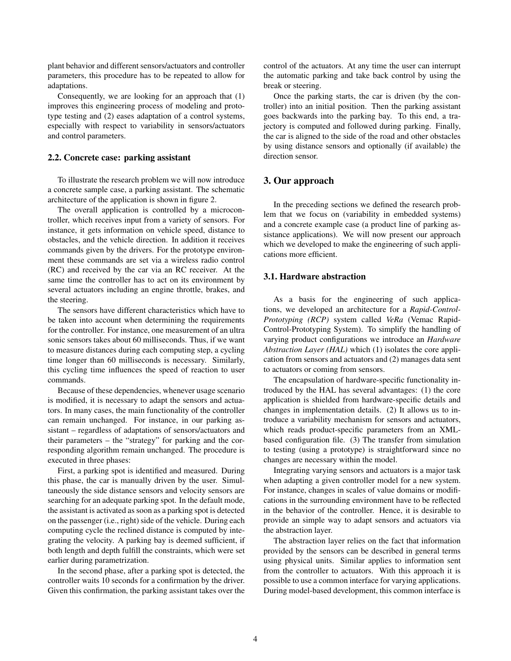plant behavior and different sensors/actuators and controller parameters, this procedure has to be repeated to allow for adaptations.

Consequently, we are looking for an approach that (1) improves this engineering process of modeling and prototype testing and (2) eases adaptation of a control systems, especially with respect to variability in sensors/actuators and control parameters.

#### 2.2. Concrete case: parking assistant

To illustrate the research problem we will now introduce a concrete sample case, a parking assistant. The schematic architecture of the application is shown in figure 2.

The overall application is controlled by a microcontroller, which receives input from a variety of sensors. For instance, it gets information on vehicle speed, distance to obstacles, and the vehicle direction. In addition it receives commands given by the drivers. For the prototype environment these commands are set via a wireless radio control (RC) and received by the car via an RC receiver. At the same time the controller has to act on its environment by several actuators including an engine throttle, brakes, and the steering.

The sensors have different characteristics which have to be taken into account when determining the requirements for the controller. For instance, one measurement of an ultra sonic sensors takes about 60 milliseconds. Thus, if we want to measure distances during each computing step, a cycling time longer than 60 milliseconds is necessary. Similarly, this cycling time influences the speed of reaction to user commands.

Because of these dependencies, whenever usage scenario is modified, it is necessary to adapt the sensors and actuators. In many cases, the main functionality of the controller can remain unchanged. For instance, in our parking assistant – regardless of adaptations of sensors/actuators and their parameters – the "strategy" for parking and the corresponding algorithm remain unchanged. The procedure is executed in three phases:

First, a parking spot is identified and measured. During this phase, the car is manually driven by the user. Simultaneously the side distance sensors and velocity sensors are searching for an adequate parking spot. In the default mode, the assistant is activated as soon as a parking spot is detected on the passenger (i.e., right) side of the vehicle. During each computing cycle the reclined distance is computed by integrating the velocity. A parking bay is deemed sufficient, if both length and depth fulfill the constraints, which were set earlier during parametrization.

In the second phase, after a parking spot is detected, the controller waits 10 seconds for a confirmation by the driver. Given this confirmation, the parking assistant takes over the control of the actuators. At any time the user can interrupt the automatic parking and take back control by using the break or steering.

Once the parking starts, the car is driven (by the controller) into an initial position. Then the parking assistant goes backwards into the parking bay. To this end, a trajectory is computed and followed during parking. Finally, the car is aligned to the side of the road and other obstacles by using distance sensors and optionally (if available) the direction sensor.

### 3. Our approach

In the preceding sections we defined the research problem that we focus on (variability in embedded systems) and a concrete example case (a product line of parking assistance applications). We will now present our approach which we developed to make the engineering of such applications more efficient.

#### 3.1. Hardware abstraction

As a basis for the engineering of such applications, we developed an architecture for a *Rapid-Control-Prototyping (RCP)* system called *VeRa* (Vemac Rapid-Control-Prototyping System). To simplify the handling of varying product configurations we introduce an *Hardware Abstraction Layer (HAL)* which (1) isolates the core application from sensors and actuators and (2) manages data sent to actuators or coming from sensors.

The encapsulation of hardware-specific functionality introduced by the HAL has several advantages: (1) the core application is shielded from hardware-specific details and changes in implementation details. (2) It allows us to introduce a variability mechanism for sensors and actuators, which reads product-specific parameters from an XMLbased configuration file. (3) The transfer from simulation to testing (using a prototype) is straightforward since no changes are necessary within the model.

Integrating varying sensors and actuators is a major task when adapting a given controller model for a new system. For instance, changes in scales of value domains or modifications in the surrounding environment have to be reflected in the behavior of the controller. Hence, it is desirable to provide an simple way to adapt sensors and actuators via the abstraction layer.

The abstraction layer relies on the fact that information provided by the sensors can be described in general terms using physical units. Similar applies to information sent from the controller to actuators. With this approach it is possible to use a common interface for varying applications. During model-based development, this common interface is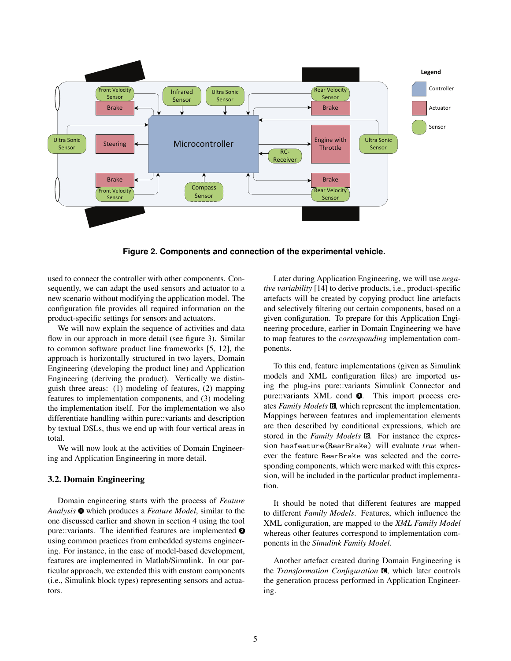

**Figure 2. Components and connection of the experimental vehicle.**

used to connect the controller with other components. Consequently, we can adapt the used sensors and actuator to a new scenario without modifying the application model. The configuration file provides all required information on the product-specific settings for sensors and actuators.

We will now explain the sequence of activities and data flow in our approach in more detail (see figure 3). Similar to common software product line frameworks [5, 12], the approach is horizontally structured in two layers, Domain Engineering (developing the product line) and Application Engineering (deriving the product). Vertically we distinguish three areas: (1) modeling of features, (2) mapping features to implementation components, and (3) modeling the implementation itself. For the implementation we also differentiate handling within pure::variants and description by textual DSLs, thus we end up with four vertical areas in total.

We will now look at the activities of Domain Engineering and Application Engineering in more detail.

#### 3.2. Domain Engineering

Domain engineering starts with the process of *Feature Analysis* which produces a *Feature Model*, similar to the one discussed earlier and shown in section 4 using the tool pure::variants. The identified features are implemented <sup>o</sup> using common practices from embedded systems engineering. For instance, in the case of model-based development, features are implemented in Matlab/Simulink. In our particular approach, we extended this with custom components (i.e., Simulink block types) representing sensors and actuators.

Later during Application Engineering, we will use *negative variability* [14] to derive products, i.e., product-specific artefacts will be created by copying product line artefacts and selectively filtering out certain components, based on a given configuration. To prepare for this Application Engineering procedure, earlier in Domain Engineering we have to map features to the *corresponding* implementation components.

To this end, feature implementations (given as Simulink models and XML configuration files) are imported using the plug-ins pure::variants Simulink Connector and pure::variants XML cond  $\bullet$ . This import process creates *Family Models* **E**, which represent the implementation. Mappings between features and implementation elements are then described by conditional expressions, which are stored in the *Family Models* **B**. For instance the expression hasfeature(RearBrake) will evaluate *true* whenever the feature RearBrake was selected and the corresponding components, which were marked with this expression, will be included in the particular product implementation.

It should be noted that different features are mapped to different *Family Models*. Features, which influence the XML configuration, are mapped to the *XML Family Model* whereas other features correspond to implementation components in the *Simulink Family Model*.

Another artefact created during Domain Engineering is the *Transformation Configuration* **Q**, which later controls the generation process performed in Application Engineering.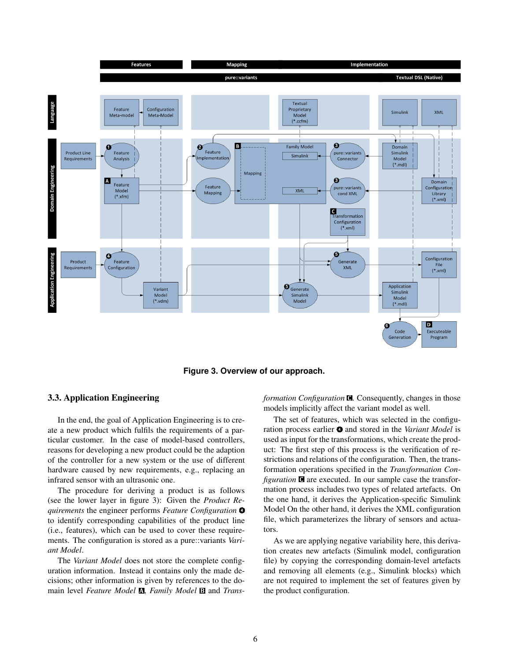

**Figure 3. Overview of our approach.**

#### 3.3. Application Engineering

In the end, the goal of Application Engineering is to create a new product which fulfils the requirements of a particular customer. In the case of model-based controllers, reasons for developing a new product could be the adaption of the controller for a new system or the use of different hardware caused by new requirements, e.g., replacing an infrared sensor with an ultrasonic one.

The procedure for deriving a product is as follows (see the lower layer in figure 3): Given the *Product Requirements* the engineer performs *Feature Configuration* to identify corresponding capabilities of the product line (i.e., features), which can be used to cover these requirements. The configuration is stored as a pure::variants *Variant Model*.

The *Variant Model* does not store the complete configuration information. Instead it contains only the made decisions; other information is given by references to the domain level *Feature Model* **N**, *Family Model* **B** and *Trans-* *formation Configuration*  $\blacksquare$ . Consequently, changes in those models implicitly affect the variant model as well.

The set of features, which was selected in the configuration process earlier  $\bullet$  and stored in the *Variant Model* is used as input for the transformations, which create the product: The first step of this process is the verification of restrictions and relations of the configuration. Then, the transformation operations specified in the *Transformation Configuration* **a** are executed. In our sample case the transformation process includes two types of related artefacts. On the one hand, it derives the Application-specific Simulink Model On the other hand, it derives the XML configuration file, which parameterizes the library of sensors and actuators.

As we are applying negative variability here, this derivation creates new artefacts (Simulink model, configuration file) by copying the corresponding domain-level artefacts and removing all elements (e.g., Simulink blocks) which are not required to implement the set of features given by the product configuration.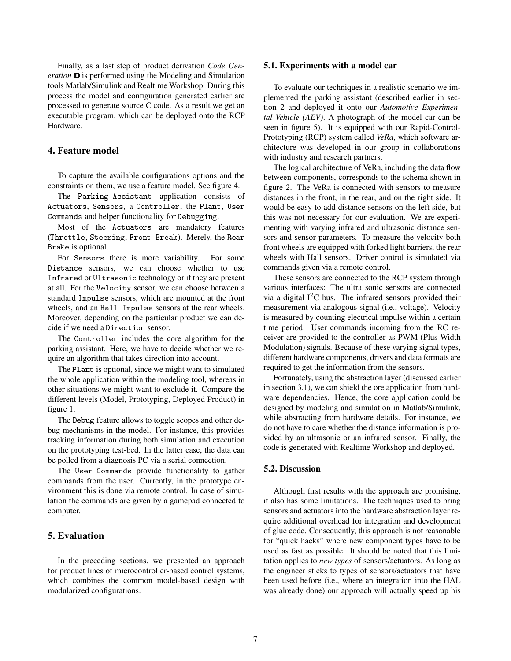Finally, as a last step of product derivation *Code Generation*  $\odot$  is performed using the Modeling and Simulation tools Matlab/Simulink and Realtime Workshop. During this process the model and configuration generated earlier are processed to generate source C code. As a result we get an executable program, which can be deployed onto the RCP Hardware.

## 4. Feature model

To capture the available configurations options and the constraints on them, we use a feature model. See figure 4.

The Parking Assistant application consists of Actuators, Sensors, a Controller, the Plant, User Commands and helper functionality for Debugging.

Most of the Actuators are mandatory features (Throttle, Steering, Front Break). Merely, the Rear Brake is optional.

For Sensors there is more variability. For some Distance sensors, we can choose whether to use Infrared or Ultrasonic technology or if they are present at all. For the Velocity sensor, we can choose between a standard Impulse sensors, which are mounted at the front wheels, and an Hall Impulse sensors at the rear wheels. Moreover, depending on the particular product we can decide if we need a Direction sensor.

The Controller includes the core algorithm for the parking assistant. Here, we have to decide whether we require an algorithm that takes direction into account.

The Plant is optional, since we might want to simulated the whole application within the modeling tool, whereas in other situations we might want to exclude it. Compare the different levels (Model, Prototyping, Deployed Product) in figure 1.

The Debug feature allows to toggle scopes and other debug mechanisms in the model. For instance, this provides tracking information during both simulation and execution on the prototyping test-bed. In the latter case, the data can be polled from a diagnosis PC via a serial connection.

The User Commands provide functionality to gather commands from the user. Currently, in the prototype environment this is done via remote control. In case of simulation the commands are given by a gamepad connected to computer.

# 5. Evaluation

In the preceding sections, we presented an approach for product lines of microcontroller-based control systems, which combines the common model-based design with modularized configurations.

#### 5.1. Experiments with a model car

To evaluate our techniques in a realistic scenario we implemented the parking assistant (described earlier in section 2 and deployed it onto our *Automotive Experimental Vehicle (AEV)*. A photograph of the model car can be seen in figure 5). It is equipped with our Rapid-Control-Prototyping (RCP) system called *VeRa*, which software architecture was developed in our group in collaborations with industry and research partners.

The logical architecture of VeRa, including the data flow between components, corresponds to the schema shown in figure 2. The VeRa is connected with sensors to measure distances in the front, in the rear, and on the right side. It would be easy to add distance sensors on the left side, but this was not necessary for our evaluation. We are experimenting with varying infrared and ultrasonic distance sensors and sensor parameters. To measure the velocity both front wheels are equipped with forked light barriers, the rear wheels with Hall sensors. Driver control is simulated via commands given via a remote control.

These sensors are connected to the RCP system through various interfaces: The ultra sonic sensors are connected via a digital  $I^2C$  bus. The infrared sensors provided their measurement via analogous signal (i.e., voltage). Velocity is measured by counting electrical impulse within a certain time period. User commands incoming from the RC receiver are provided to the controller as PWM (Plus Width Modulation) signals. Because of these varying signal types, different hardware components, drivers and data formats are required to get the information from the sensors.

Fortunately, using the abstraction layer (discussed earlier in section 3.1), we can shield the ore application from hardware dependencies. Hence, the core application could be designed by modeling and simulation in Matlab/Simulink, while abstracting from hardware details. For instance, we do not have to care whether the distance information is provided by an ultrasonic or an infrared sensor. Finally, the code is generated with Realtime Workshop and deployed.

#### 5.2. Discussion

Although first results with the approach are promising, it also has some limitations. The techniques used to bring sensors and actuators into the hardware abstraction layer require additional overhead for integration and development of glue code. Consequently, this approach is not reasonable for "quick hacks" where new component types have to be used as fast as possible. It should be noted that this limitation applies to *new types* of sensors/actuators. As long as the engineer sticks to types of sensors/actuators that have been used before (i.e., where an integration into the HAL was already done) our approach will actually speed up his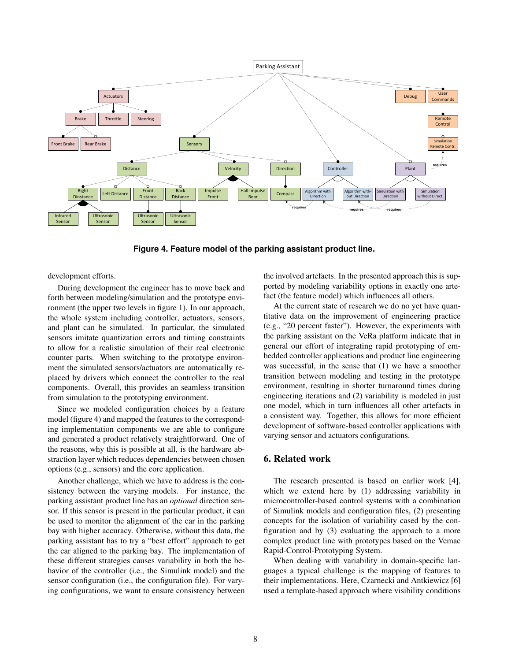

**Figure 4. Feature model of the parking assistant product line.**

development efforts.

During development the engineer has to move back and forth between modeling/simulation and the prototype environment (the upper two levels in figure 1). In our approach, the whole system including controller, actuators, sensors, and plant can be simulated. In particular, the simulated sensors imitate quantization errors and timing constraints to allow for a realistic simulation of their real electronic counter parts. When switching to the prototype environment the simulated sensors/actuators are automatically replaced by drivers which connect the controller to the real components. Overall, this provides an seamless transition from simulation to the prototyping environment.

Since we modeled configuration choices by a feature model (figure 4) and mapped the features to the corresponding implementation components we are able to configure and generated a product relatively straightforward. One of the reasons, why this is possible at all, is the hardware abstraction layer which reduces dependencies between chosen options (e.g., sensors) and the core application.

Another challenge, which we have to address is the consistency between the varying models. For instance, the parking assistant product line has an *optional* direction sensor. If this sensor is present in the particular product, it can be used to monitor the alignment of the car in the parking bay with higher accuracy. Otherwise, without this data, the parking assistant has to try a "best effort" approach to get the car aligned to the parking bay. The implementation of these different strategies causes variability in both the behavior of the controller (i.e., the Simulink model) and the sensor configuration (i.e., the configuration file). For varying configurations, we want to ensure consistency between the involved artefacts. In the presented approach this is supported by modeling variability options in exactly one artefact (the feature model) which influences all others.

At the current state of research we do no yet have quantitative data on the improvement of engineering practice (e.g., "20 percent faster"). However, the experiments with the parking assistant on the VeRa platform indicate that in general our effort of integrating rapid prototyping of embedded controller applications and product line engineering was successful, in the sense that (1) we have a smoother transition between modeling and testing in the prototype environment, resulting in shorter turnaround times during engineering iterations and (2) variability is modeled in just one model, which in turn influences all other artefacts in a consistent way. Together, this allows for more efficient development of software-based controller applications with varying sensor and actuators configurations.

## 6. Related work

The research presented is based on earlier work [4], which we extend here by (1) addressing variability in microcontroller-based control systems with a combination of Simulink models and configuration files, (2) presenting concepts for the isolation of variability cased by the configuration and by (3) evaluating the approach to a more complex product line with prototypes based on the Vemac Rapid-Control-Prototyping System.

When dealing with variability in domain-specific languages a typical challenge is the mapping of features to their implementations. Here, Czarnecki and Antkiewicz [6] used a template-based approach where visibility conditions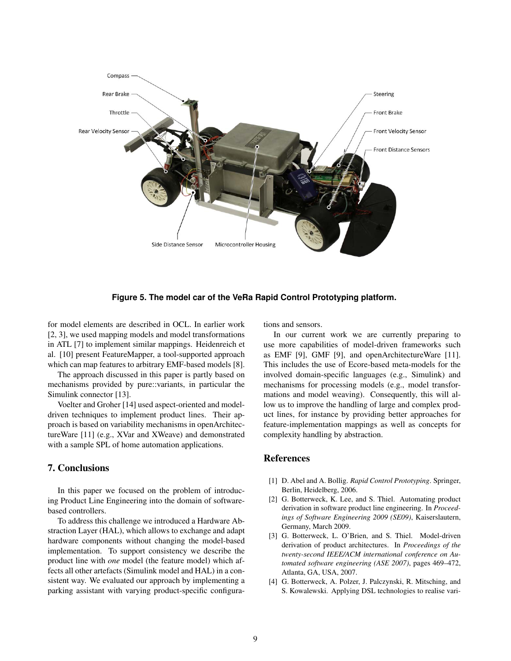

**Figure 5. The model car of the VeRa Rapid Control Prototyping platform.**

for model elements are described in OCL. In earlier work [2, 3], we used mapping models and model transformations in ATL [7] to implement similar mappings. Heidenreich et al. [10] present FeatureMapper, a tool-supported approach which can map features to arbitrary EMF-based models [8].

The approach discussed in this paper is partly based on mechanisms provided by pure::variants, in particular the Simulink connector [13].

Voelter and Groher [14] used aspect-oriented and modeldriven techniques to implement product lines. Their approach is based on variability mechanisms in openArchitectureWare [11] (e.g., XVar and XWeave) and demonstrated with a sample SPL of home automation applications.

## 7. Conclusions

In this paper we focused on the problem of introducing Product Line Engineering into the domain of softwarebased controllers.

To address this challenge we introduced a Hardware Abstraction Layer (HAL), which allows to exchange and adapt hardware components without changing the model-based implementation. To support consistency we describe the product line with *one* model (the feature model) which affects all other artefacts (Simulink model and HAL) in a consistent way. We evaluated our approach by implementing a parking assistant with varying product-specific configurations and sensors.

In our current work we are currently preparing to use more capabilities of model-driven frameworks such as EMF [9], GMF [9], and openArchitectureWare [11]. This includes the use of Ecore-based meta-models for the involved domain-specific languages (e.g., Simulink) and mechanisms for processing models (e.g., model transformations and model weaving). Consequently, this will allow us to improve the handling of large and complex product lines, for instance by providing better approaches for feature-implementation mappings as well as concepts for complexity handling by abstraction.

#### References

- [1] D. Abel and A. Bollig. *Rapid Control Prototyping*. Springer, Berlin, Heidelberg, 2006.
- [2] G. Botterweck, K. Lee, and S. Thiel. Automating product derivation in software product line engineering. In *Proceedings of Software Engineering 2009 (SE09)*, Kaiserslautern, Germany, March 2009.
- [3] G. Botterweck, L. O'Brien, and S. Thiel. Model-driven derivation of product architectures. In *Proceedings of the twenty-second IEEE/ACM international conference on Automated software engineering (ASE 2007)*, pages 469–472, Atlanta, GA, USA, 2007.
- [4] G. Botterweck, A. Polzer, J. Palczynski, R. Mitsching, and S. Kowalewski. Applying DSL technologies to realise vari-